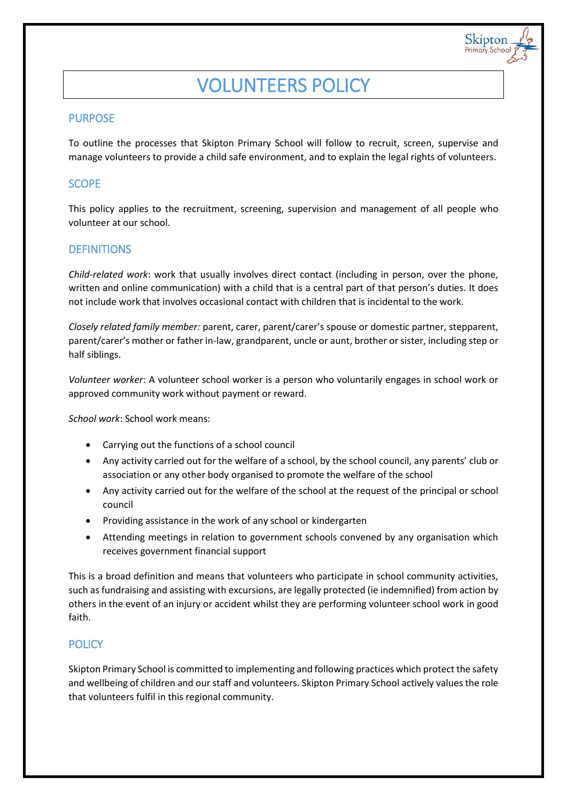# VOLUNTEERS POLICY

Skipton

# PURPOSE

To outline the processes that Skipton Primary School will follow to recruit, screen, supervise and manage volunteers to provide a child safe environment, and to explain the legal rights of volunteers.

# **SCOPE**

This policy applies to the recruitment, screening, supervision and management of all people who volunteer at our school.

# **DEFINITIONS**

*Child-related work*: work that usually involves direct contact (including in person, over the phone, written and online communication) with a child that is a central part of that person's duties. It does not include work that involves occasional contact with children that is incidental to the work.

*Closely related family member:* parent, carer, parent/carer's spouse or domestic partner, stepparent, parent/carer's mother or father in-law, grandparent, uncle or aunt, brother or sister, including step or half siblings.

*Volunteer worker*: A volunteer school worker is a person who voluntarily engages in school work or approved community work without payment or reward.

*School work*: School work means:

- Carrying out the functions of a school council
- Any activity carried out for the welfare of a school, by the school council, any parents' club or association or any other body organised to promote the welfare of the school
- Any activity carried out for the welfare of the school at the request of the principal or school council
- Providing assistance in the work of any school or kindergarten
- Attending meetings in relation to government schools convened by any organisation which receives government financial support

This is a broad definition and means that volunteers who participate in school community activities, such as fundraising and assisting with excursions, are legally protected (ie indemnified) from action by others in the event of an injury or accident whilst they are performing volunteer school work in good faith.

## **POLICY**

Skipton Primary School is committed to implementing and following practices which protect the safety and wellbeing of children and our staff and volunteers. Skipton Primary School actively values the role that volunteers fulfil in this regional community.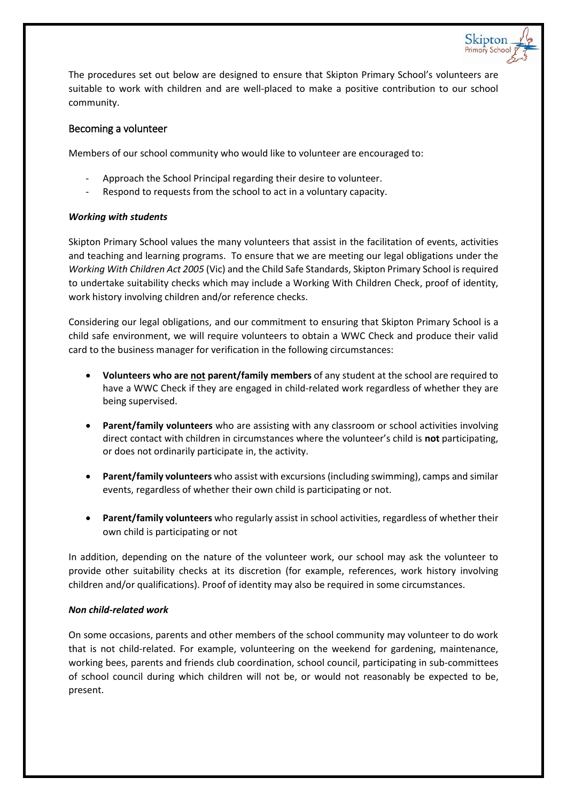

Skipton

### Becoming a volunteer

Members of our school community who would like to volunteer are encouraged to:

- Approach the School Principal regarding their desire to volunteer.
- Respond to requests from the school to act in a voluntary capacity.

### *Working with students*

Skipton Primary School values the many volunteers that assist in the facilitation of events, activities and teaching and learning programs. To ensure that we are meeting our legal obligations under the *Working With Children Act 2005* (Vic) and the Child Safe Standards, Skipton Primary School is required to undertake suitability checks which may include a Working With Children Check, proof of identity, work history involving children and/or reference checks.

Considering our legal obligations, and our commitment to ensuring that Skipton Primary School is a child safe environment, we will require volunteers to obtain a WWC Check and produce their valid card to the business manager for verification in the following circumstances:

- **Volunteers who are not parent/family members** of any student at the school are required to have a WWC Check if they are engaged in child-related work regardless of whether they are being supervised.
- **Parent/family volunteers** who are assisting with any classroom or school activities involving direct contact with children in circumstances where the volunteer's child is **not** participating, or does not ordinarily participate in, the activity.
- **Parent/family volunteers** who assist with excursions (including swimming), camps and similar events, regardless of whether their own child is participating or not.
- **Parent/family volunteers** who regularly assist in school activities, regardless of whether their own child is participating or not

In addition, depending on the nature of the volunteer work, our school may ask the volunteer to provide other suitability checks at its discretion (for example, references, work history involving children and/or qualifications). Proof of identity may also be required in some circumstances.

### *Non child-related work*

On some occasions, parents and other members of the school community may volunteer to do work that is not child-related. For example, volunteering on the weekend for gardening, maintenance, working bees, parents and friends club coordination, school council, participating in sub-committees of school council during which children will not be, or would not reasonably be expected to be, present.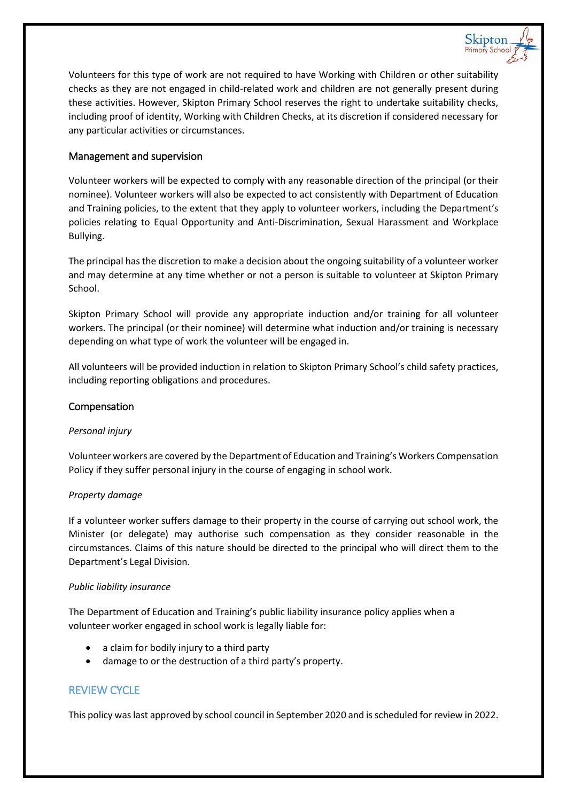

Volunteers for this type of work are not required to have Working with Children or other suitability checks as they are not engaged in child-related work and children are not generally present during these activities. However, Skipton Primary School reserves the right to undertake suitability checks, including proof of identity, Working with Children Checks, at its discretion if considered necessary for any particular activities or circumstances.

## Management and supervision

Volunteer workers will be expected to comply with any reasonable direction of the principal (or their nominee). Volunteer workers will also be expected to act consistently with Department of Education and Training policies, to the extent that they apply to volunteer workers, including the Department's policies relating to Equal Opportunity and Anti-Discrimination, Sexual Harassment and Workplace Bullying.

The principal has the discretion to make a decision about the ongoing suitability of a volunteer worker and may determine at any time whether or not a person is suitable to volunteer at Skipton Primary School.

Skipton Primary School will provide any appropriate induction and/or training for all volunteer workers. The principal (or their nominee) will determine what induction and/or training is necessary depending on what type of work the volunteer will be engaged in.

All volunteers will be provided induction in relation to Skipton Primary School's child safety practices, including reporting obligations and procedures.

#### Compensation

#### *Personal injury*

Volunteer workers are covered by the Department of Education and Training's Workers Compensation Policy if they suffer personal injury in the course of engaging in school work.

#### *Property damage*

If a volunteer worker suffers damage to their property in the course of carrying out school work, the Minister (or delegate) may authorise such compensation as they consider reasonable in the circumstances. Claims of this nature should be directed to the principal who will direct them to the Department's Legal Division.

#### *Public liability insurance*

The Department of Education and Training's public liability insurance policy applies when a volunteer worker engaged in school work is legally liable for:

- a claim for bodily injury to a third party
- damage to or the destruction of a third party's property.

## REVIEW CYCLE

This policy was last approved by school council in September 2020 and is scheduled for review in 2022.